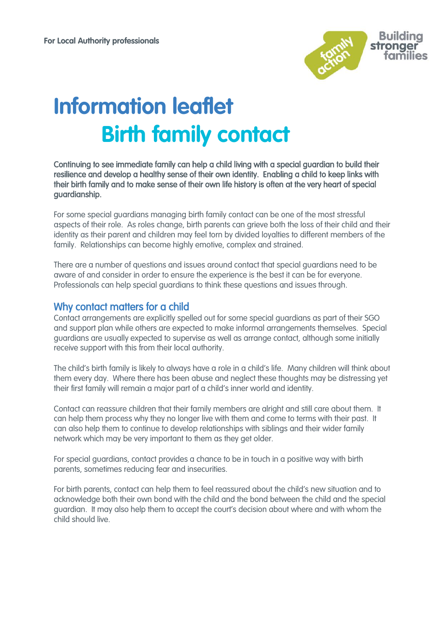

# **Information leaflet Birth family contact**

Continuing to see immediate family can help a child living with a special guardian to build their resilience and develop a healthy sense of their own identity. Enabling a child to keep links with their birth family and to make sense of their own life history is often at the very heart of special guardianship.

For some special guardians managing birth family contact can be one of the most stressful aspects of their role. As roles change, birth parents can grieve both the loss of their child and their identity as their parent and children may feel torn by divided loyalties to different members of the family. Relationships can become highly emotive, complex and strained.

There are a number of questions and issues around contact that special guardians need to be aware of and consider in order to ensure the experience is the best it can be for everyone. Professionals can help special guardians to think these questions and issues through.

### Why contact matters for a child

Contact arrangements are explicitly spelled out for some special guardians as part of their SGO and support plan while others are expected to make informal arrangements themselves. Special guardians are usually expected to supervise as well as arrange contact, although some initially receive support with this from their local authority.

The child's birth family is likely to always have a role in a child's life. Many children will think about them every day. Where there has been abuse and neglect these thoughts may be distressing yet their first family will remain a major part of a child's inner world and identity.

Contact can reassure children that their family members are alright and still care about them. It can help them process why they no longer live with them and come to terms with their past. It can also help them to continue to develop relationships with siblings and their wider family network which may be very important to them as they get older.

For special guardians, contact provides a chance to be in touch in a positive way with birth parents, sometimes reducing fear and insecurities.

For birth parents, contact can help them to feel reassured about the child's new situation and to acknowledge both their own bond with the child and the bond between the child and the special guardian. It may also help them to accept the court's decision about where and with whom the child should live.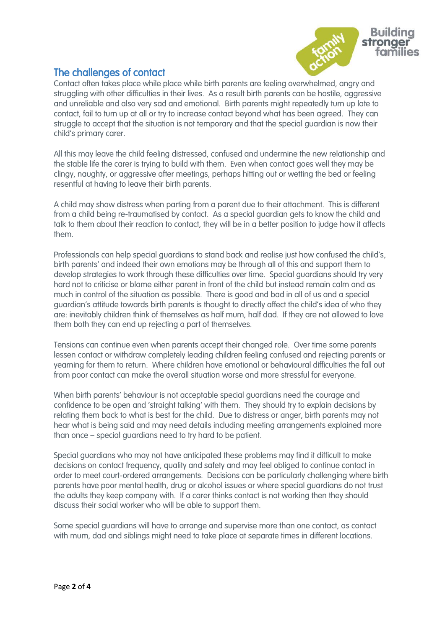

## The challenges of contact

Contact often takes place while place while birth parents are feeling overwhelmed, angry and struggling with other difficulties in their lives. As a result birth parents can be hostile, aggressive and unreliable and also very sad and emotional. Birth parents might repeatedly turn up late to contact, fail to turn up at all or try to increase contact beyond what has been agreed. They can struggle to accept that the situation is not temporary and that the special guardian is now their child's primary carer.

All this may leave the child feeling distressed, confused and undermine the new relationship and the stable life the carer is trying to build with them. Even when contact goes well they may be clingy, naughty, or aggressive after meetings, perhaps hitting out or wetting the bed or feeling resentful at having to leave their birth parents.

A child may show distress when parting from a parent due to their attachment. This is different from a child being re-traumatised by contact. As a special guardian gets to know the child and talk to them about their reaction to contact, they will be in a better position to judge how it affects them.

Professionals can help special guardians to stand back and realise just how confused the child's, birth parents' and indeed their own emotions may be through all of this and support them to develop strategies to work through these difficulties over time. Special guardians should try very hard not to criticise or blame either parent in front of the child but instead remain calm and as much in control of the situation as possible. There is good and bad in all of us and a special guardian's attitude towards birth parents is thought to directly affect the child's idea of who they are: inevitably children think of themselves as half mum, half dad. If they are not allowed to love them both they can end up rejecting a part of themselves.

Tensions can continue even when parents accept their changed role. Over time some parents lessen contact or withdraw completely leading children feeling confused and rejecting parents or yearning for them to return. Where children have emotional or behavioural difficulties the fall out from poor contact can make the overall situation worse and more stressful for everyone.

When birth parents' behaviour is not acceptable special guardians need the courage and confidence to be open and 'straight talking' with them. They should try to explain decisions by relating them back to what is best for the child. Due to distress or anger, birth parents may not hear what is being said and may need details including meeting arrangements explained more than once – special guardians need to try hard to be patient.

Special guardians who may not have anticipated these problems may find it difficult to make decisions on contact frequency, quality and safety and may feel obliged to continue contact in order to meet court-ordered arrangements. Decisions can be particularly challenging where birth parents have poor mental health, drug or alcohol issues or where special guardians do not trust the adults they keep company with. If a carer thinks contact is not working then they should discuss their social worker who will be able to support them.

Some special guardians will have to arrange and supervise more than one contact, as contact with mum, dad and siblings might need to take place at separate times in different locations.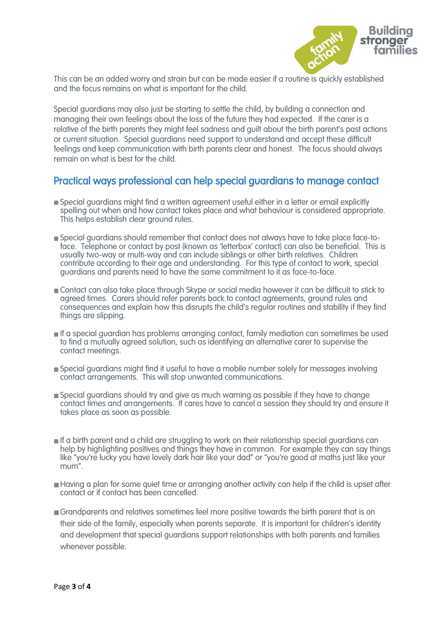

This can be an added worry and strain but can be made easier if a routine is quickly established and the focus remains on what is important for the child.

Special guardians may also just be starting to settle the child, by building a connection and managing their own feelings about the loss of the future they had expected. If the carer is a relative of the birth parents they might feel sadness and guilt about the birth parent's past actions or current situation. Special guardians need support to understand and accept these difficult feelings and keep communication with birth parents clear and honest. The focus should always remain on what is best for the child.

## Practical ways professional can help special guardians to manage contact

- Special guardians might find a written agreement useful either in a letter or email explicitly spelling out when and how contact takes place and what behaviour is considered appropriate. This helps establish clear ground rules.
- Special guardians should remember that contact does not always have to take place face-toface. Telephone or contact by post (known as 'letterbox' contact) can also be beneficial. This is usually two-way or multi-way and can include siblings or other birth relatives. Children contribute according to their age and understanding. For this type of contact to work, special guardians and parents need to have the same commitment to it as face-to-face.
- Contact can also take place through Skype or social media however it can be difficult to stick to agreed times. Carers should refer parents back to contact agreements, ground rules and consequences and explain how this disrupts the child's regular routines and stability if they find things are slipping.
- If a special guardian has problems arranging contact, family mediation can sometimes be used to find a mutually agreed solution, such as identifying an alternative carer to supervise the contact meetings.
- Special guardians might find it useful to have a mobile number solely for messages involving contact arrangements. This will stop unwanted communications.
- Special guardians should try and give as much warning as possible if they have to change contact times and arrangements. If cares have to cancel a session they should try and ensure it takes place as soon as possible.
- If a birth parent and a child are struggling to work on their relationship special guardians can help by highlighting positives and things they have in common. For example they can say things like "you're lucky you have lovely dark hair like your dad" or "you're good at maths just like your mum".
- Having a plan for some quiet time or arranging another activity can help if the child is upset after contact or if contact has been cancelled.
- Grandparents and relatives sometimes feel more positive towards the birth parent that is on their side of the family, especially when parents separate. It is important for children's identity and development that special guardians support relationships with both parents and families whenever possible.